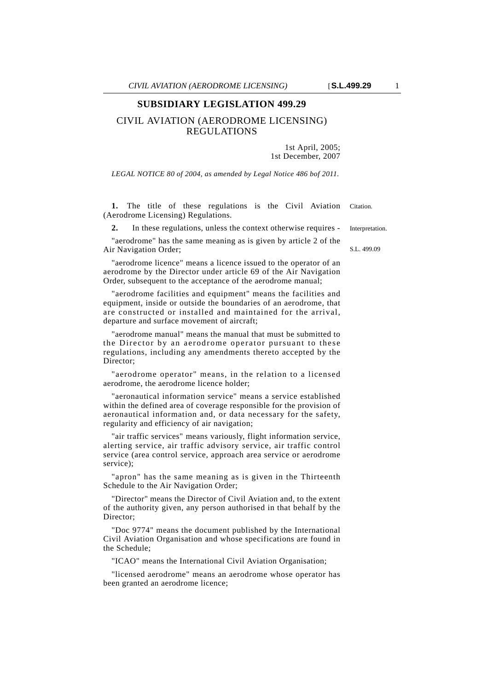## **SUBSIDIARY LEGISLATION 499.29**

## CIVIL AVIATION (AERODROME LICENSING) REGULATIONS

1st April, 2005; 1st December, 2007

*LEGAL NOTICE 80 of 2004, as amended by Legal Notice 486 bof 2011.*

1. The title of these regulations is the Civil Aviation Citation. (Aerodrome Licensing) Regulations.

**2.** In these regulations, unless the context otherwise requires - Interpretation.

"aerodrome" has the same meaning as is given by article 2 of the Air Navigation Order;

"aerodrome licence" means a licence issued to the operator of an aerodrome by the Director under article 69 of the Air Navigation Order, subsequent to the acceptance of the aerodrome manual;

"aerodrome facilities and equipment" means the facilities and equipment, inside or outside the boundaries of an aerodrome, that are constructed or installed and maintained for the arrival, departure and surface movement of aircraft;

"aerodrome manual" means the manual that must be submitted to the Director by an aerodrome operator pursuant to these regulations, including any amendments thereto accepted by the Director;

"aerodrome operator" means, in the relation to a licensed aerodrome, the aerodrome licence holder;

"aeronautical information service" means a service established within the defined area of coverage responsible for the provision of aeronautical information and, or data necessary for the safety, regularity and efficiency of air navigation;

"air traffic services" means variously, flight information service, alerting service, air traffic advisory service, air traffic control service (area control service, approach area service or aerodrome service);

"apron" has the same meaning as is given in the Thirteenth Schedule to the Air Navigation Order;

"Director" means the Director of Civil Aviation and, to the extent of the authority given, any person authorised in that behalf by the Director;

"Doc 9774" means the document published by the International Civil Aviation Organisation and whose specifications are found in the Schedule;

"ICAO" means the International Civil Aviation Organisation;

"licensed aerodrome" means an aerodrome whose operator has been granted an aerodrome licence;

S.L. 499.09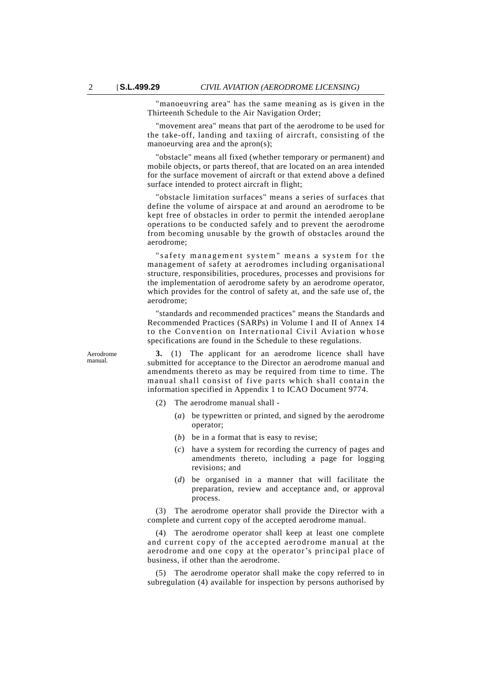"manoeuvring area" has the same meaning as is given in the Thirteenth Schedule to the Air Navigation Order;

"movement area" means that part of the aerodrome to be used for the take-off, landing and taxiing of aircraft, consisting of the manoeurving area and the apron(s);

"obstacle" means all fixed (whether temporary or permanent) and mobile objects, or parts thereof, that are located on an area intended for the surface movement of aircraft or that extend above a defined surface intended to protect aircraft in flight;

"obstacle limitation surfaces" means a series of surfaces that define the volume of airspace at and around an aerodrome to be kept free of obstacles in order to permit the intended aeroplane operations to be conducted safely and to prevent the aerodrome from becoming unusable by the growth of obstacles around the aerodrome;

" safety management system" means a system for the management of safety at aerodromes including organisational structure, responsibilities, procedures, processes and provisions for the implementation of aerodrome safety by an aerodrome operator, which provides for the control of safety at, and the safe use of, the aerodrome;

"standards and recommended practices" means the Standards and Recommended Practices (SARPs) in Volume I and II of Annex 14 to the Convention on International Civil Aviation whose specifications are found in the Schedule to these regulations.

Aerodrome manual.

**3.** (1) The applicant for an aerodrome licence shall have submitted for acceptance to the Director an aerodrome manual and amendments thereto as may be required from time to time. The manual shall consist of five parts which shall contain the information specified in Appendix 1 to ICAO Document 9774.

- (2) The aerodrome manual shall
	- (*a*) be typewritten or printed, and signed by the aerodrome operator;
	- (*b*) be in a format that is easy to revise;
	- (*c*) have a system for recording the currency of pages and amendments thereto, including a page for logging revisions; and
	- (*d*) be organised in a manner that will facilitate the preparation, review and acceptance and, or approval process.

(3) The aerodrome operator shall provide the Director with a complete and current copy of the accepted aerodrome manual.

(4) The aerodrome operator shall keep at least one complete and current copy of the accepted aerodrome manual at the aerodrome and one copy at the operator 's principal place of business, if other than the aerodrome.

(5) The aerodrome operator shall make the copy referred to in subregulation (4) available for inspection by persons authorised by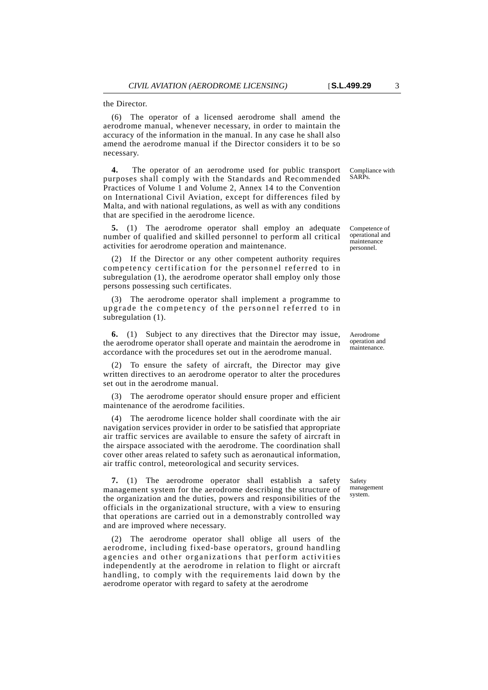the Director.

(6) The operator of a licensed aerodrome shall amend the aerodrome manual, whenever necessary, in order to maintain the accuracy of the information in the manual. In any case he shall also amend the aerodrome manual if the Director considers it to be so necessary.

**4.** The operator of an aerodrome used for public transport purposes shall comply with the Standards and Recommended Practices of Volume 1 and Volume 2, Annex 14 to the Convention on International Civil Aviation, except for differences filed by Malta, and with national regulations, as well as with any conditions that are specified in the aerodrome licence.

**5.** (1) The aerodrome operator shall employ an adequate number of qualified and skilled personnel to perform all critical activities for aerodrome operation and maintenance.

(2) If the Director or any other competent authority requires competency certification for the personnel referred to in subregulation (1), the aerodrome operator shall employ only those persons possessing such certificates.

(3) The aerodrome operator shall implement a programme to upgrade the competency of the personnel referred to in subregulation (1).

**6.** (1) Subject to any directives that the Director may issue, the aerodrome operator shall operate and maintain the aerodrome in accordance with the procedures set out in the aerodrome manual.

To ensure the safety of aircraft, the Director may give written directives to an aerodrome operator to alter the procedures set out in the aerodrome manual.

(3) The aerodrome operator should ensure proper and efficient maintenance of the aerodrome facilities.

(4) The aerodrome licence holder shall coordinate with the air navigation services provider in order to be satisfied that appropriate air traffic services are available to ensure the safety of aircraft in the airspace associated with the aerodrome. The coordination shall cover other areas related to safety such as aeronautical information, air traffic control, meteorological and security services.

**7.** (1) The aerodrome operator shall establish a safety management system for the aerodrome describing the structure of the organization and the duties, powers and responsibilities of the officials in the organizational structure, with a view to ensuring that operations are carried out in a demonstrably controlled way and are improved where necessary.

(2) The aerodrome operator shall oblige all users of the aerodrome, including fixed-base operators, ground handling agencies and other organizations that perform activities independently at the aerodrome in relation to flight or aircraft handling, to comply with the requirements laid down by the aerodrome operator with regard to safety at the aerodrome

Compliance with SARPs.

Competence of operational and maintenance personnel.

Aerodrome operation and maintenance.

**Safety** management system.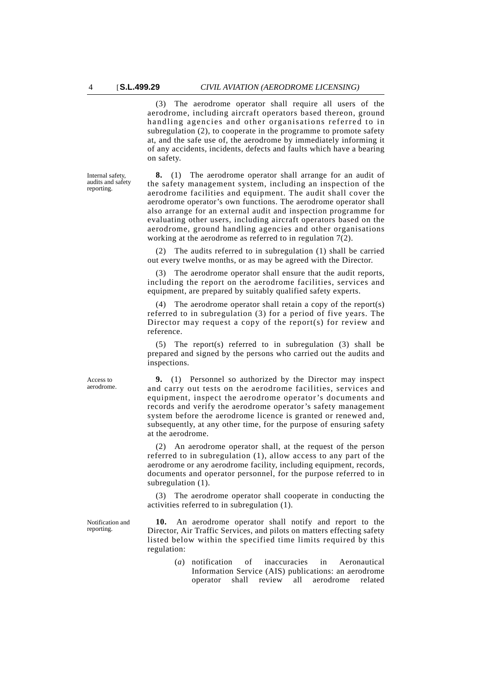Internal safety, audits and safety reporting.

(3) The aerodrome operator shall require all users of the aerodrome, including aircraft operators based thereon, ground handling agencies and other organisations referred to in subregulation (2), to cooperate in the programme to promote safety at, and the safe use of, the aerodrome by immediately informing it of any accidents, incidents, defects and faults which have a bearing on safety.

**8.** (1) The aerodrome operator shall arrange for an audit of the safety management system, including an inspection of the aerodrome facilities and equipment. The audit shall cover the aerodrome operator's own functions. The aerodrome operator shall also arrange for an external audit and inspection programme for evaluating other users, including aircraft operators based on the aerodrome, ground handling agencies and other organisations working at the aerodrome as referred to in regulation 7(2).

(2) The audits referred to in subregulation (1) shall be carried out every twelve months, or as may be agreed with the Director.

(3) The aerodrome operator shall ensure that the audit reports, including the report on the aerodrome facilities, services and equipment, are prepared by suitably qualified safety experts.

(4) The aerodrome operator shall retain a copy of the report(s) referred to in subregulation (3) for a period of five years. The Director may request a copy of the report(s) for review and reference.

(5) The report(s) referred to in subregulation (3) shall be prepared and signed by the persons who carried out the audits and inspections.

**9.** (1) Personnel so authorized by the Director may inspect and carry out tests on the aerodrome facilities, services and equipment, inspect the aerodrome operator's documents and records and verify the aerodrome operator's safety management system before the aerodrome licence is granted or renewed and, subsequently, at any other time, for the purpose of ensuring safety at the aerodrome.

(2) An aerodrome operator shall, at the request of the person referred to in subregulation (1), allow access to any part of the aerodrome or any aerodrome facility, including equipment, records, documents and operator personnel, for the purpose referred to in subregulation (1).

(3) The aerodrome operator shall cooperate in conducting the activities referred to in subregulation (1).

**10.** An aerodrome operator shall notify and report to the Director, Air Traffic Services, and pilots on matters effecting safety listed below within the specified time limits required by this regulation:

> (*a*) notification of inaccuracies in Aeronautical Information Service (AIS) publications: an aerodrome operator shall review all aerodrome related

Access to aerodrome.

Notification and reporting.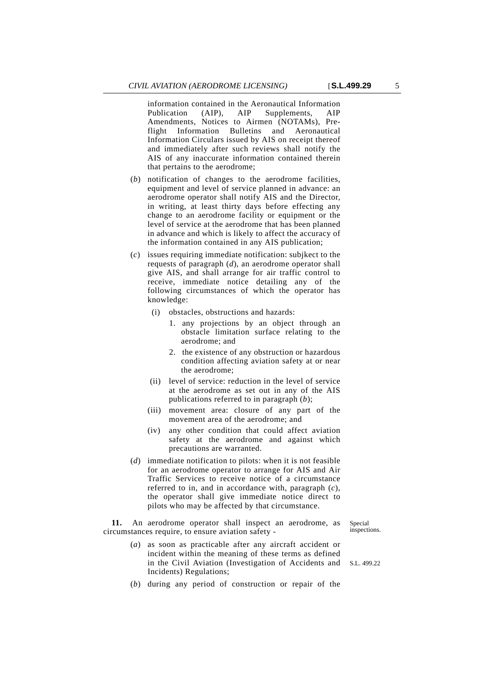information contained in the Aeronautical Information<br>Publication (AIP), AIP Supplements, AIP Publication (AIP), AIP Supplements, AIP Amendments, Notices to Airmen (NOTAMs), Preflight Information Bulletins and Aeronautical Information Circulars issued by AIS on receipt thereof and immediately after such reviews shall notify the AIS of any inaccurate information contained therein that pertains to the aerodrome;

- (*b*) notification of changes to the aerodrome facilities, equipment and level of service planned in advance: an aerodrome operator shall notify AIS and the Director, in writing, at least thirty days before effecting any change to an aerodrome facility or equipment or the level of service at the aerodrome that has been planned in advance and which is likely to affect the accuracy of the information contained in any AIS publication;
- (*c*) issues requiring immediate notification: subjkect to the requests of paragraph (*d*), an aerodrome operator shall give AIS, and shall arrange for air traffic control to receive, immediate notice detailing any of the following circumstances of which the operator has knowledge:
	- (i) obstacles, obstructions and hazards:
		- 1. any projections by an object through an obstacle limitation surface relating to the aerodrome; and
		- 2. the existence of any obstruction or hazardous condition affecting aviation safety at or near the aerodrome;
	- (ii) level of service: reduction in the level of service at the aerodrome as set out in any of the AIS publications referred to in paragraph (*b*);
	- (iii) movement area: closure of any part of the movement area of the aerodrome; and
	- (iv) any other condition that could affect aviation safety at the aerodrome and against which precautions are warranted.
- (*d*) immediate notification to pilots: when it is not feasible for an aerodrome operator to arrange for AIS and Air Traffic Services to receive notice of a circumstance referred to in, and in accordance with, paragraph (*c*), the operator shall give immediate notice direct to pilots who may be affected by that circumstance.

**11.** An aerodrome operator shall inspect an aerodrome, as circumstances require, to ensure aviation safety -

Special inspections.

- in the Civil Aviation (Investigation of Accidents and S.L. 499.22 (*a*) as soon as practicable after any aircraft accident or incident within the meaning of these terms as defined Incidents) Regulations;
- (*b*) during any period of construction or repair of the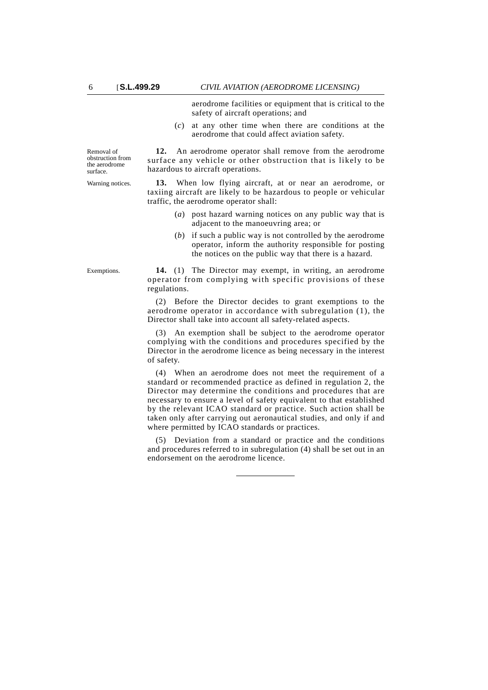aerodrome facilities or equipment that is critical to the safety of aircraft operations; and

(*c*) at any other time when there are conditions at the aerodrome that could affect aviation safety.

**12.** An aerodrome operator shall remove from the aerodrome surface any vehicle or other obstruction that is likely to be hazardous to aircraft operations.

Warning notices. **13.** When low flying aircraft, at or near an aerodrome, or taxiing aircraft are likely to be hazardous to people or vehicular traffic, the aerodrome operator shall:

- (*a*) post hazard warning notices on any public way that is adjacent to the manoeuvring area; or
- (*b*) if such a public way is not controlled by the aerodrome operator, inform the authority responsible for posting the notices on the public way that there is a hazard.

Exemptions. **14.** (1) The Director may exempt, in writing, an aerodrome operator from complying with specific provisions of these regulations.

> (2) Before the Director decides to grant exemptions to the aerodrome operator in accordance with subregulation (1), the Director shall take into account all safety-related aspects.

> (3) An exemption shall be subject to the aerodrome operator complying with the conditions and procedures specified by the Director in the aerodrome licence as being necessary in the interest of safety.

> (4) When an aerodrome does not meet the requirement of a standard or recommended practice as defined in regulation 2, the Director may determine the conditions and procedures that are necessary to ensure a level of safety equivalent to that established by the relevant ICAO standard or practice. Such action shall be taken only after carrying out aeronautical studies, and only if and where permitted by ICAO standards or practices.

> (5) Deviation from a standard or practice and the conditions and procedures referred to in subregulation (4) shall be set out in an endorsement on the aerodrome licence.

Removal of obstruction from the aerodrome surface.